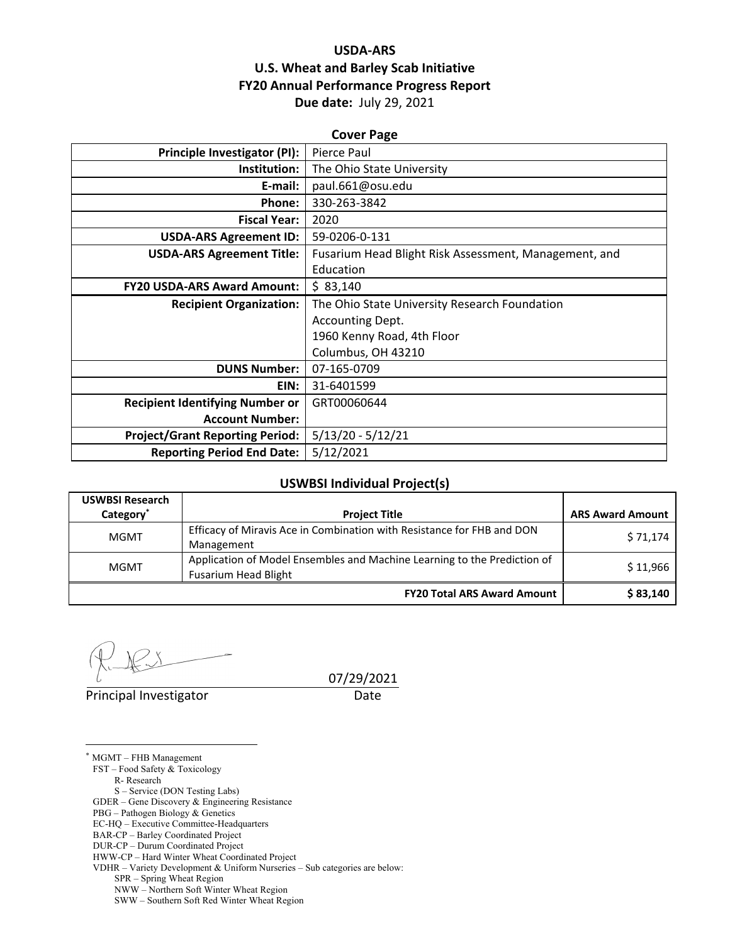## **USDA‐ARS U.S. Wheat and Barley Scab Initiative FY20 Annual Performance Progress Report Due date:** July 29, 2021

| <b>Cover Page</b>                      |                                                       |  |  |  |
|----------------------------------------|-------------------------------------------------------|--|--|--|
| Principle Investigator (PI):           | Pierce Paul                                           |  |  |  |
| Institution:                           | The Ohio State University                             |  |  |  |
| E-mail:                                | paul.661@osu.edu                                      |  |  |  |
| Phone:                                 | 330-263-3842                                          |  |  |  |
| <b>Fiscal Year:</b>                    | 2020                                                  |  |  |  |
| <b>USDA-ARS Agreement ID:</b>          | 59-0206-0-131                                         |  |  |  |
| <b>USDA-ARS Agreement Title:</b>       | Fusarium Head Blight Risk Assessment, Management, and |  |  |  |
|                                        | Education                                             |  |  |  |
| <b>FY20 USDA-ARS Award Amount:</b>     | \$83,140                                              |  |  |  |
| <b>Recipient Organization:</b>         | The Ohio State University Research Foundation         |  |  |  |
|                                        | Accounting Dept.                                      |  |  |  |
|                                        | 1960 Kenny Road, 4th Floor                            |  |  |  |
|                                        | Columbus, OH 43210                                    |  |  |  |
| <b>DUNS Number:</b>                    | 07-165-0709                                           |  |  |  |
| EIN:                                   | 31-6401599                                            |  |  |  |
| <b>Recipient Identifying Number or</b> | GRT00060644                                           |  |  |  |
| <b>Account Number:</b>                 |                                                       |  |  |  |
| <b>Project/Grant Reporting Period:</b> | $5/13/20 - 5/12/21$                                   |  |  |  |
| <b>Reporting Period End Date:</b>      | 5/12/2021                                             |  |  |  |

## **USWBSI Individual Project(s)**

| <b>USWBSI Research</b> |                                                                                                         |                         |
|------------------------|---------------------------------------------------------------------------------------------------------|-------------------------|
| Category <sup>*</sup>  | <b>Project Title</b>                                                                                    | <b>ARS Award Amount</b> |
| <b>MGMT</b>            | Efficacy of Miravis Ace in Combination with Resistance for FHB and DON<br>Management                    | \$71,174                |
| <b>MGMT</b>            | Application of Model Ensembles and Machine Learning to the Prediction of<br><b>Fusarium Head Blight</b> | \$11,966                |
|                        | <b>FY20 Total ARS Award Amount</b>                                                                      | \$83,140                |

Principal Investigator **Date** 

 $\overline{a}$ 

07/29/2021

\* MGMT – FHB Management FST – Food Safety & Toxicology R- Research S – Service (DON Testing Labs) GDER – Gene Discovery & Engineering Resistance PBG – Pathogen Biology & Genetics EC-HQ – Executive Committee-Headquarters BAR-CP – Barley Coordinated Project DUR-CP – Durum Coordinated Project HWW-CP – Hard Winter Wheat Coordinated Project VDHR – Variety Development & Uniform Nurseries – Sub categories are below:

SPR – Spring Wheat Region

NWW – Northern Soft Winter Wheat Region

SWW – Southern Soft Red Winter Wheat Region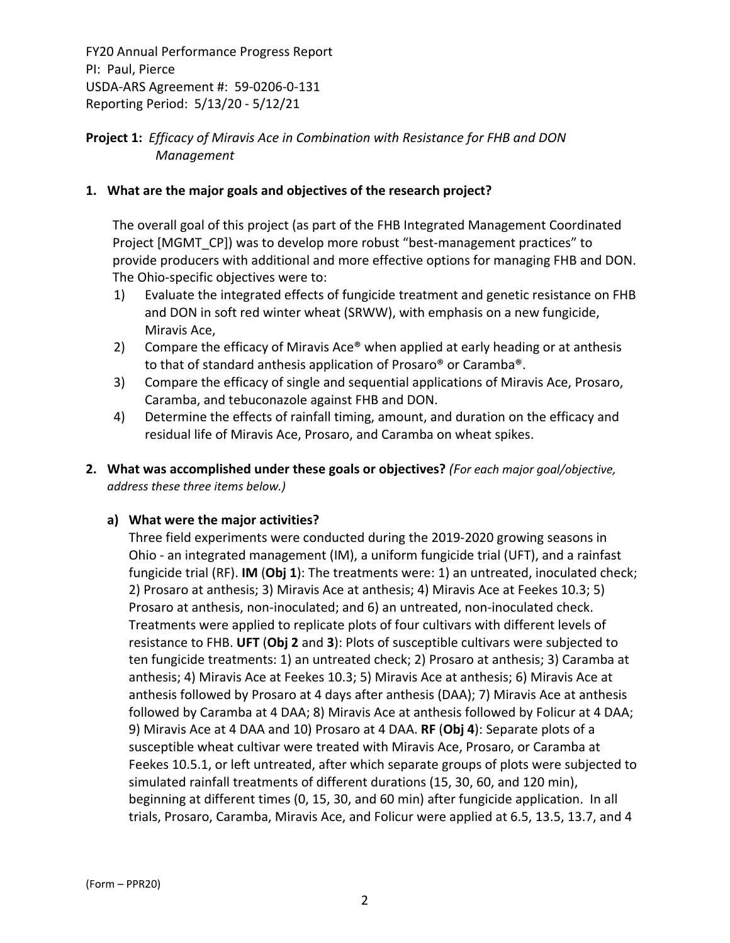## **Project 1:** *Efficacy of Miravis Ace in Combination with Resistance for FHB and DON Management*

## **1. What are the major goals and objectives of the research project?**

The overall goal of this project (as part of the FHB Integrated Management Coordinated Project [MGMT\_CP]) was to develop more robust "best-management practices" to provide producers with additional and more effective options for managing FHB and DON. The Ohio‐specific objectives were to:

- 1) Evaluate the integrated effects of fungicide treatment and genetic resistance on FHB and DON in soft red winter wheat (SRWW), with emphasis on a new fungicide, Miravis Ace,
- 2) Compare the efficacy of Miravis Ace® when applied at early heading or at anthesis to that of standard anthesis application of Prosaro® or Caramba®.
- 3) Compare the efficacy of single and sequential applications of Miravis Ace, Prosaro, Caramba, and tebuconazole against FHB and DON.
- 4) Determine the effects of rainfall timing, amount, and duration on the efficacy and residual life of Miravis Ace, Prosaro, and Caramba on wheat spikes.
- **2. What was accomplished under these goals or objectives?** *(For each major goal/objective, address these three items below.)*

## **a) What were the major activities?**

Three field experiments were conducted during the 2019‐2020 growing seasons in Ohio ‐ an integrated management (IM), a uniform fungicide trial (UFT), and a rainfast fungicide trial (RF). **IM** (**Obj 1**): The treatments were: 1) an untreated, inoculated check; 2) Prosaro at anthesis; 3) Miravis Ace at anthesis; 4) Miravis Ace at Feekes 10.3; 5) Prosaro at anthesis, non‐inoculated; and 6) an untreated, non‐inoculated check. Treatments were applied to replicate plots of four cultivars with different levels of resistance to FHB. **UFT** (**Obj 2** and **3**): Plots of susceptible cultivars were subjected to ten fungicide treatments: 1) an untreated check; 2) Prosaro at anthesis; 3) Caramba at anthesis; 4) Miravis Ace at Feekes 10.3; 5) Miravis Ace at anthesis; 6) Miravis Ace at anthesis followed by Prosaro at 4 days after anthesis (DAA); 7) Miravis Ace at anthesis followed by Caramba at 4 DAA; 8) Miravis Ace at anthesis followed by Folicur at 4 DAA; 9) Miravis Ace at 4 DAA and 10) Prosaro at 4 DAA. **RF** (**Obj 4**): Separate plots of a susceptible wheat cultivar were treated with Miravis Ace, Prosaro, or Caramba at Feekes 10.5.1, or left untreated, after which separate groups of plots were subjected to simulated rainfall treatments of different durations (15, 30, 60, and 120 min), beginning at different times (0, 15, 30, and 60 min) after fungicide application. In all trials, Prosaro, Caramba, Miravis Ace, and Folicur were applied at 6.5, 13.5, 13.7, and 4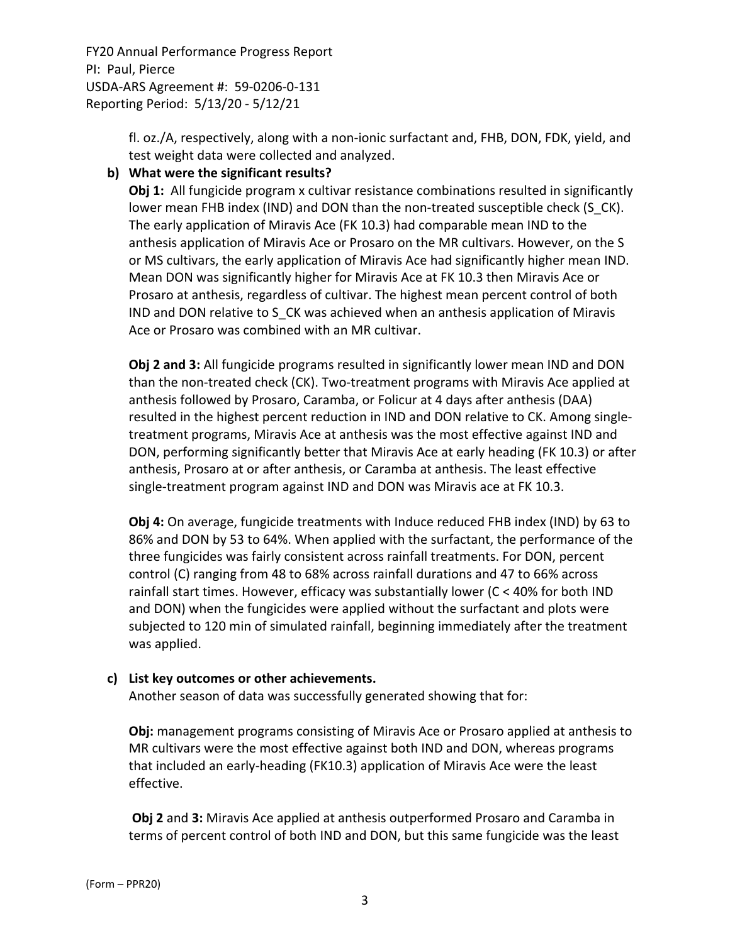> fl. oz./A, respectively, along with a non‐ionic surfactant and, FHB, DON, FDK, yield, and test weight data were collected and analyzed.

### **b) What were the significant results?**

**Obj 1:** All fungicide program x cultivar resistance combinations resulted in significantly lower mean FHB index (IND) and DON than the non-treated susceptible check (S CK). The early application of Miravis Ace (FK 10.3) had comparable mean IND to the anthesis application of Miravis Ace or Prosaro on the MR cultivars. However, on the S or MS cultivars, the early application of Miravis Ace had significantly higher mean IND. Mean DON was significantly higher for Miravis Ace at FK 10.3 then Miravis Ace or Prosaro at anthesis, regardless of cultivar. The highest mean percent control of both IND and DON relative to S\_CK was achieved when an anthesis application of Miravis Ace or Prosaro was combined with an MR cultivar.

**Obj 2 and 3:** All fungicide programs resulted in significantly lower mean IND and DON than the non-treated check (CK). Two-treatment programs with Miravis Ace applied at anthesis followed by Prosaro, Caramba, or Folicur at 4 days after anthesis (DAA) resulted in the highest percent reduction in IND and DON relative to CK. Among single‐ treatment programs, Miravis Ace at anthesis was the most effective against IND and DON, performing significantly better that Miravis Ace at early heading (FK 10.3) or after anthesis, Prosaro at or after anthesis, or Caramba at anthesis. The least effective single‐treatment program against IND and DON was Miravis ace at FK 10.3.

**Obj 4:** On average, fungicide treatments with Induce reduced FHB index (IND) by 63 to 86% and DON by 53 to 64%. When applied with the surfactant, the performance of the three fungicides was fairly consistent across rainfall treatments. For DON, percent control (C) ranging from 48 to 68% across rainfall durations and 47 to 66% across rainfall start times. However, efficacy was substantially lower (C < 40% for both IND and DON) when the fungicides were applied without the surfactant and plots were subjected to 120 min of simulated rainfall, beginning immediately after the treatment was applied.

#### **c) List key outcomes or other achievements.**

Another season of data was successfully generated showing that for:

**Obj:** management programs consisting of Miravis Ace or Prosaro applied at anthesis to MR cultivars were the most effective against both IND and DON, whereas programs that included an early‐heading (FK10.3) application of Miravis Ace were the least effective.

**Obj 2** and **3:** Miravis Ace applied at anthesis outperformed Prosaro and Caramba in terms of percent control of both IND and DON, but this same fungicide was the least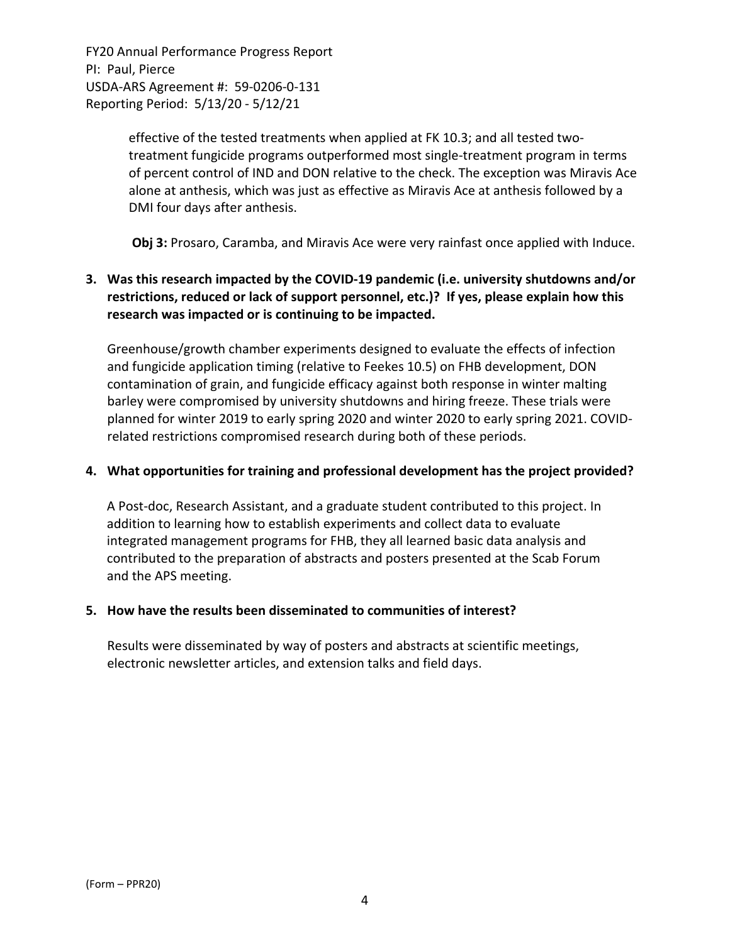> effective of the tested treatments when applied at FK 10.3; and all tested twotreatment fungicide programs outperformed most single‐treatment program in terms of percent control of IND and DON relative to the check. The exception was Miravis Ace alone at anthesis, which was just as effective as Miravis Ace at anthesis followed by a DMI four days after anthesis.

> **Obj 3:** Prosaro, Caramba, and Miravis Ace were very rainfast once applied with Induce.

## **3. Was this research impacted by the COVID‐19 pandemic (i.e. university shutdowns and/or restrictions, reduced or lack of support personnel, etc.)? If yes, please explain how this research was impacted or is continuing to be impacted.**

Greenhouse/growth chamber experiments designed to evaluate the effects of infection and fungicide application timing (relative to Feekes 10.5) on FHB development, DON contamination of grain, and fungicide efficacy against both response in winter malting barley were compromised by university shutdowns and hiring freeze. These trials were planned for winter 2019 to early spring 2020 and winter 2020 to early spring 2021. COVID‐ related restrictions compromised research during both of these periods.

#### **4. What opportunities for training and professional development has the project provided?**

A Post‐doc, Research Assistant, and a graduate student contributed to this project. In addition to learning how to establish experiments and collect data to evaluate integrated management programs for FHB, they all learned basic data analysis and contributed to the preparation of abstracts and posters presented at the Scab Forum and the APS meeting.

#### **5. How have the results been disseminated to communities of interest?**

Results were disseminated by way of posters and abstracts at scientific meetings, electronic newsletter articles, and extension talks and field days.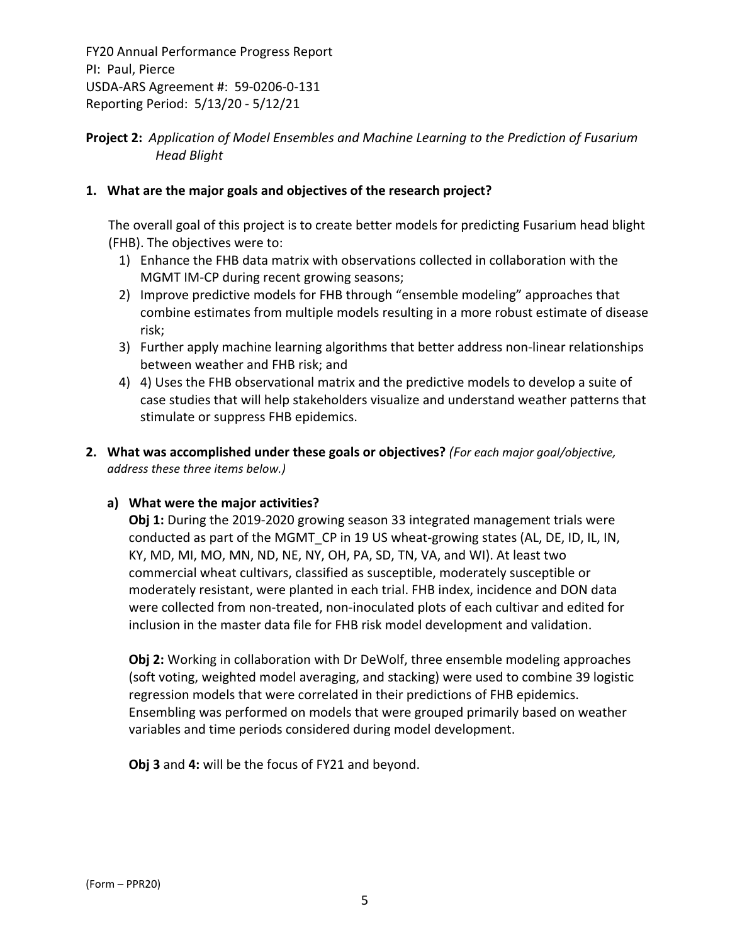## **Project 2:** *Application of Model Ensembles and Machine Learning to the Prediction of Fusarium Head Blight*

### **1. What are the major goals and objectives of the research project?**

The overall goal of this project is to create better models for predicting Fusarium head blight (FHB). The objectives were to:

- 1) Enhance the FHB data matrix with observations collected in collaboration with the MGMT IM‐CP during recent growing seasons;
- 2) Improve predictive models for FHB through "ensemble modeling" approaches that combine estimates from multiple models resulting in a more robust estimate of disease risk;
- 3) Further apply machine learning algorithms that better address non-linear relationships between weather and FHB risk; and
- 4) 4) Uses the FHB observational matrix and the predictive models to develop a suite of case studies that will help stakeholders visualize and understand weather patterns that stimulate or suppress FHB epidemics.
- **2. What was accomplished under these goals or objectives?** *(For each major goal/objective, address these three items below.)*

#### **a) What were the major activities?**

**Obj 1:** During the 2019‐2020 growing season 33 integrated management trials were conducted as part of the MGMT CP in 19 US wheat-growing states (AL, DE, ID, IL, IN, KY, MD, MI, MO, MN, ND, NE, NY, OH, PA, SD, TN, VA, and WI). At least two commercial wheat cultivars, classified as susceptible, moderately susceptible or moderately resistant, were planted in each trial. FHB index, incidence and DON data were collected from non-treated, non-inoculated plots of each cultivar and edited for inclusion in the master data file for FHB risk model development and validation.

**Obj 2:** Working in collaboration with Dr DeWolf, three ensemble modeling approaches (soft voting, weighted model averaging, and stacking) were used to combine 39 logistic regression models that were correlated in their predictions of FHB epidemics. Ensembling was performed on models that were grouped primarily based on weather variables and time periods considered during model development.

**Obj 3** and **4:** will be the focus of FY21 and beyond.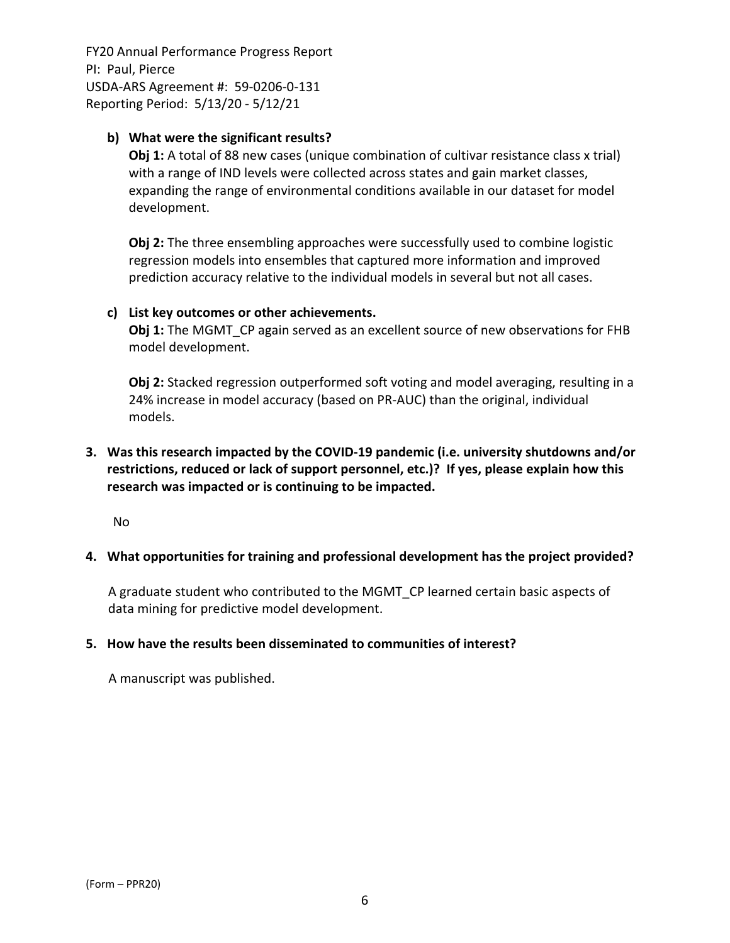### **b) What were the significant results?**

**Obj 1:** A total of 88 new cases (unique combination of cultivar resistance class x trial) with a range of IND levels were collected across states and gain market classes, expanding the range of environmental conditions available in our dataset for model development.

**Obj 2:** The three ensembling approaches were successfully used to combine logistic regression models into ensembles that captured more information and improved prediction accuracy relative to the individual models in several but not all cases.

#### **c) List key outcomes or other achievements.**

**Obj 1:** The MGMT CP again served as an excellent source of new observations for FHB model development.

**Obj 2:** Stacked regression outperformed soft voting and model averaging, resulting in a 24% increase in model accuracy (based on PR‐AUC) than the original, individual models.

## **3. Was this research impacted by the COVID‐19 pandemic (i.e. university shutdowns and/or restrictions, reduced or lack of support personnel, etc.)? If yes, please explain how this research was impacted or is continuing to be impacted.**

No

#### **4. What opportunities for training and professional development has the project provided?**

A graduate student who contributed to the MGMT\_CP learned certain basic aspects of data mining for predictive model development.

#### **5. How have the results been disseminated to communities of interest?**

A manuscript was published.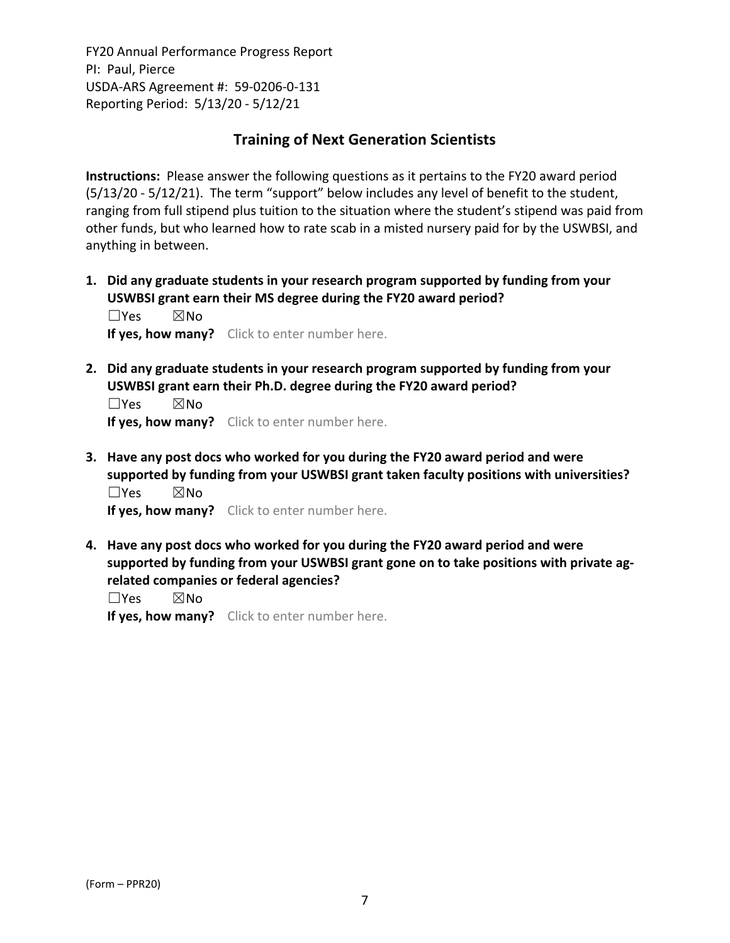# **Training of Next Generation Scientists**

**Instructions:** Please answer the following questions as it pertains to the FY20 award period (5/13/20 ‐ 5/12/21). The term "support" below includes any level of benefit to the student, ranging from full stipend plus tuition to the situation where the student's stipend was paid from other funds, but who learned how to rate scab in a misted nursery paid for by the USWBSI, and anything in between.

**1. Did any graduate students in your research program supported by funding from your USWBSI grant earn their MS degree during the FY20 award period?** ☐Yes ☒No

**If yes, how many?** Click to enter number here.

**2. Did any graduate students in your research program supported by funding from your USWBSI grant earn their Ph.D. degree during the FY20 award period?**

☐Yes ☒No **If yes, how many?** Click to enter number here.

**3. Have any post docs who worked for you during the FY20 award period and were supported by funding from your USWBSI grant taken faculty positions with universities?** ☐Yes ☒No

**If yes, how many?** Click to enter number here.

**4. Have any post docs who worked for you during the FY20 award period and were supported by funding from your USWBSI grant gone on to take positions with private ag‐ related companies or federal agencies?**

☐Yes ☒No

**If yes, how many?** Click to enter number here.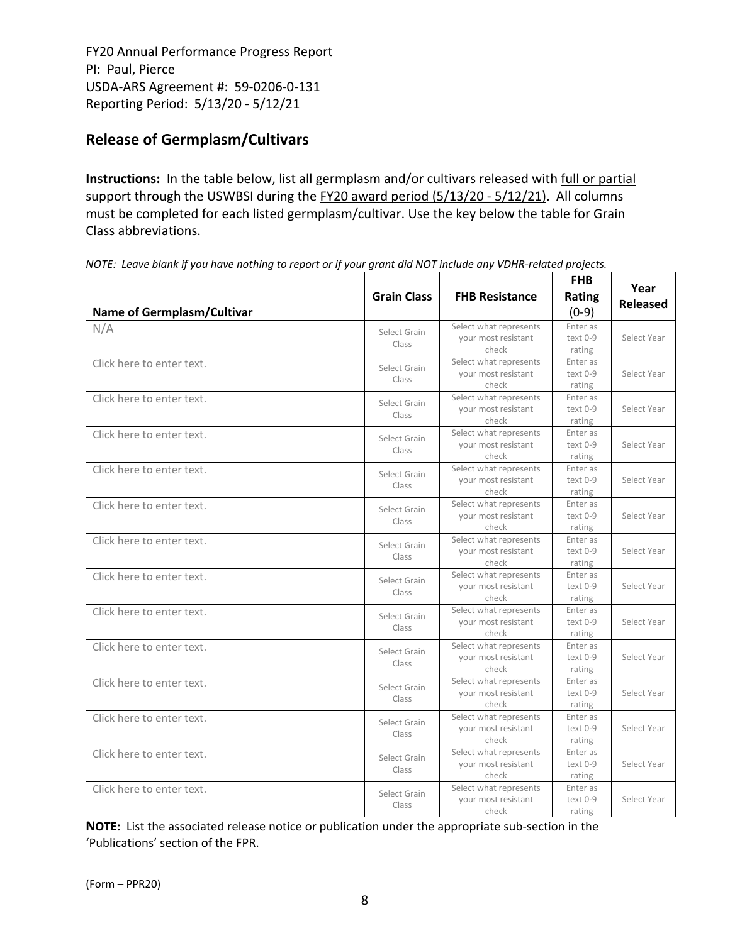# **Release of Germplasm/Cultivars**

**Instructions:** In the table below, list all germplasm and/or cultivars released with full or partial support through the USWBSI during the FY20 award period (5/13/20 - 5/12/21). All columns must be completed for each listed germplasm/cultivar. Use the key below the table for Grain Class abbreviations. 

| <b>Name of Germplasm/Cultivar</b> | <b>Grain Class</b>    | <b>FHB Resistance</b>                                  | <b>FHB</b><br><b>Rating</b><br>$(0-9)$ | Year<br><b>Released</b> |
|-----------------------------------|-----------------------|--------------------------------------------------------|----------------------------------------|-------------------------|
| N/A                               | Select Grain<br>Class | Select what represents<br>your most resistant<br>check | Enter as<br>text 0-9<br>rating         | Select Year             |
| Click here to enter text.         | Select Grain<br>Class | Select what represents<br>your most resistant<br>check | Enter as<br>text 0-9<br>rating         | Select Year             |
| Click here to enter text.         | Select Grain<br>Class | Select what represents<br>your most resistant<br>check | Enter as<br>text 0-9<br>rating         | Select Year             |
| Click here to enter text.         | Select Grain<br>Class | Select what represents<br>your most resistant<br>check | Enter as<br>text 0-9<br>rating         | Select Year             |
| Click here to enter text.         | Select Grain<br>Class | Select what represents<br>your most resistant<br>check | Enter as<br>text 0-9<br>rating         | Select Year             |
| Click here to enter text.         | Select Grain<br>Class | Select what represents<br>your most resistant<br>check | Enter as<br>text 0-9<br>rating         | Select Year             |
| Click here to enter text.         | Select Grain<br>Class | Select what represents<br>your most resistant<br>check | Enter as<br>text 0-9<br>rating         | Select Year             |
| Click here to enter text.         | Select Grain<br>Class | Select what represents<br>your most resistant<br>check | Enter as<br>text 0-9<br>rating         | Select Year             |
| Click here to enter text.         | Select Grain<br>Class | Select what represents<br>your most resistant<br>check | Enter as<br>text 0-9<br>rating         | Select Year             |
| Click here to enter text.         | Select Grain<br>Class | Select what represents<br>your most resistant<br>check | Enter as<br>text 0-9<br>rating         | Select Year             |
| Click here to enter text.         | Select Grain<br>Class | Select what represents<br>your most resistant<br>check | Enter as<br>text 0-9<br>rating         | Select Year             |
| Click here to enter text.         | Select Grain<br>Class | Select what represents<br>your most resistant<br>check | Enter as<br>text 0-9<br>rating         | Select Year             |
| Click here to enter text.         | Select Grain<br>Class | Select what represents<br>your most resistant<br>check | Enter as<br>text 0-9<br>rating         | Select Year             |
| Click here to enter text.         | Select Grain<br>Class | Select what represents<br>your most resistant<br>check | Enter as<br>text 0-9<br>rating         | Select Year             |

NOTE: Leave blank if you have nothing to report or if your grant did NOT include any VDHR-related projects.

**NOTE:** List the associated release notice or publication under the appropriate sub-section in the 'Publications' section of the FPR.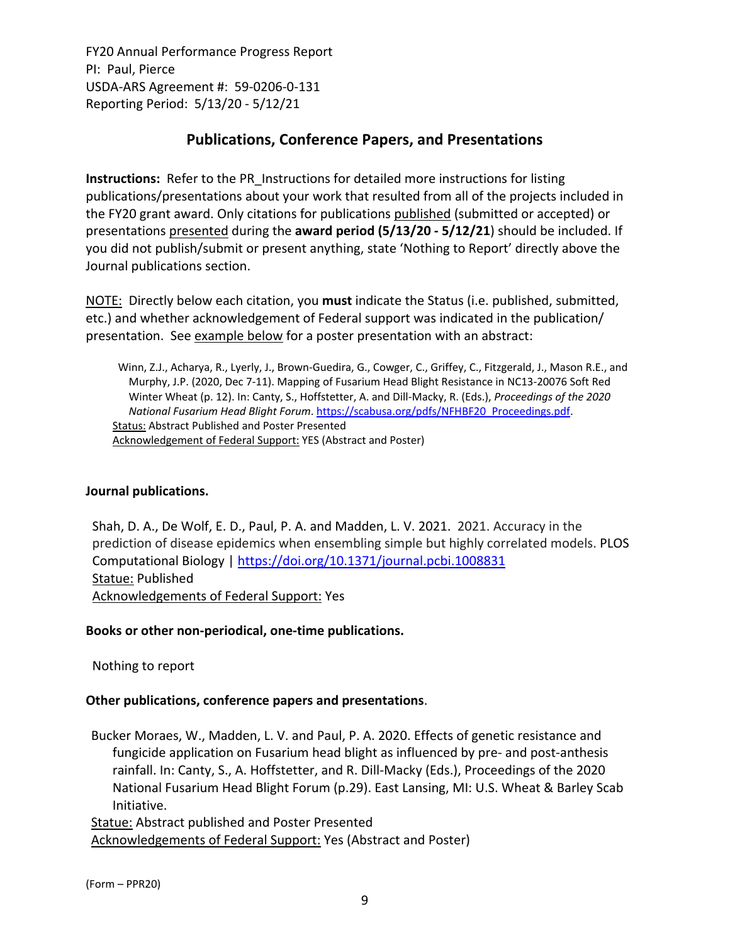# **Publications, Conference Papers, and Presentations**

**Instructions:** Refer to the PR\_Instructions for detailed more instructions for listing publications/presentations about your work that resulted from all of the projects included in the FY20 grant award. Only citations for publications published (submitted or accepted) or presentations presented during the **award period (5/13/20 ‐ 5/12/21**) should be included. If you did not publish/submit or present anything, state 'Nothing to Report' directly above the Journal publications section.

NOTE: Directly below each citation, you **must** indicate the Status (i.e. published, submitted, etc.) and whether acknowledgement of Federal support was indicated in the publication/ presentation. See example below for a poster presentation with an abstract:

Winn, Z.J., Acharya, R., Lyerly, J., Brown‐Guedira, G., Cowger, C., Griffey, C., Fitzgerald, J., Mason R.E., and Murphy, J.P. (2020, Dec 7‐11). Mapping of Fusarium Head Blight Resistance in NC13‐20076 Soft Red Winter Wheat (p. 12). In: Canty, S., Hoffstetter, A. and Dill‐Macky, R. (Eds.), *Proceedings of the 2020 National Fusarium Head Blight Forum*. https://scabusa.org/pdfs/NFHBF20\_Proceedings.pdf. Status: Abstract Published and Poster Presented Acknowledgement of Federal Support: YES (Abstract and Poster)

## **Journal publications.**

Shah, D. A., De Wolf, E. D., Paul, P. A. and Madden, L. V. 2021. 2021. Accuracy in the prediction of disease epidemics when ensembling simple but highly correlated models. PLOS Computational Biology | https://doi.org/10.1371/journal.pcbi.1008831 Statue: Published Acknowledgements of Federal Support: Yes

#### **Books or other non‐periodical, one‐time publications.**

Nothing to report

## **Other publications, conference papers and presentations**.

Bucker Moraes, W., Madden, L. V. and Paul, P. A. 2020. Effects of genetic resistance and fungicide application on Fusarium head blight as influenced by pre- and post-anthesis rainfall. In: Canty, S., A. Hoffstetter, and R. Dill‐Macky (Eds.), Proceedings of the 2020 National Fusarium Head Blight Forum (p.29). East Lansing, MI: U.S. Wheat & Barley Scab Initiative.

Statue: Abstract published and Poster Presented Acknowledgements of Federal Support: Yes (Abstract and Poster)